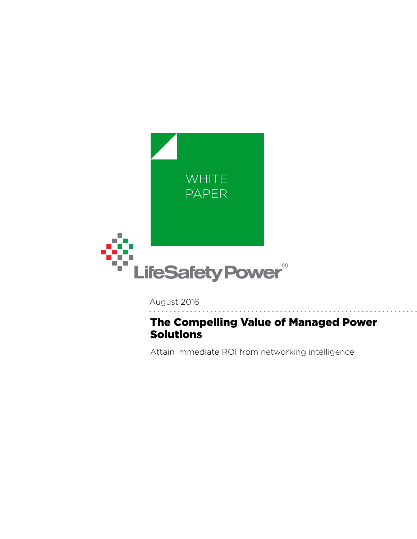

August 2016

# The Compelling Value of Managed Power Solutions

Attain immediate ROI from networking intelligence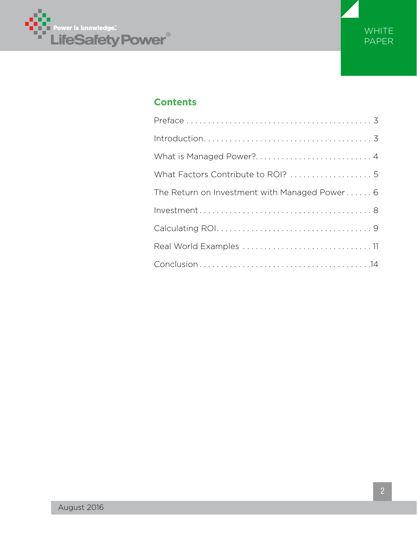



# **Contents**

| What is Managed Power? 4                                                                           |
|----------------------------------------------------------------------------------------------------|
| What Factors Contribute to ROI?  5                                                                 |
| The Return on Investment with Managed Power 6                                                      |
| $Investment \ldots \ldots \ldots \ldots \ldots \ldots \ldots \ldots \ldots \ldots \ldots \ldots 8$ |
|                                                                                                    |
|                                                                                                    |
|                                                                                                    |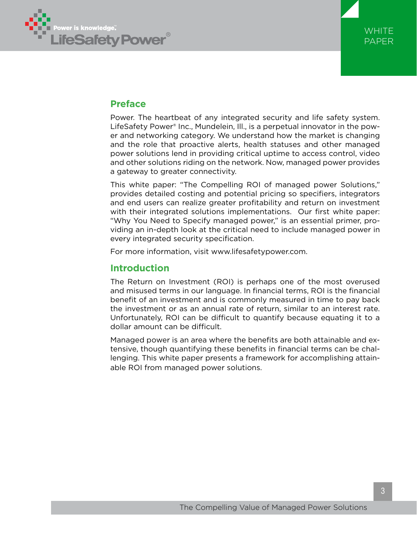



# **Preface**

Power. The heartbeat of any integrated security and life safety system. LifeSafety Power® Inc., Mundelein, Ill., is a perpetual innovator in the power and networking category. We understand how the market is changing and the role that proactive alerts, health statuses and other managed power solutions lend in providing critical uptime to access control, video and other solutions riding on the network. Now, managed power provides a gateway to greater connectivity.

This white paper: "The Compelling ROI of managed power Solutions," provides detailed costing and potential pricing so specifiers, integrators and end users can realize greater profitability and return on investment with their integrated solutions implementations. Our first white paper: "Why You Need to Specify managed power," is an essential primer, providing an in-depth look at the critical need to include managed power in every integrated security specification.

For more information, visit www.lifesafetypower.com.

## **Introduction**

The Return on Investment (ROI) is perhaps one of the most overused and misused terms in our language. In financial terms, ROI is the financial benefit of an investment and is commonly measured in time to pay back the investment or as an annual rate of return, similar to an interest rate. Unfortunately, ROI can be difficult to quantify because equating it to a dollar amount can be difficult.

Managed power is an area where the benefits are both attainable and extensive, though quantifying these benefits in financial terms can be challenging. This white paper presents a framework for accomplishing attainable ROI from managed power solutions.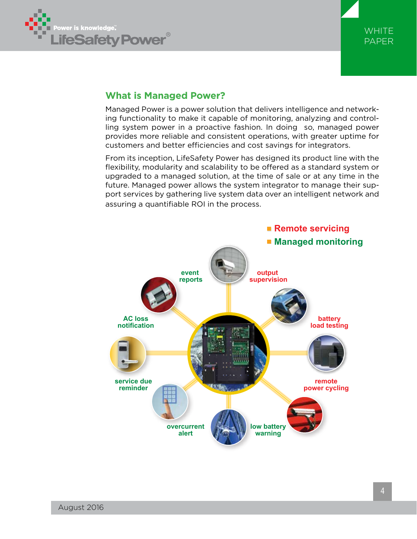



## **What is Managed Power?**

Managed Power is a power solution that delivers intelligence and networking functionality to make it capable of monitoring, analyzing and controlling system power in a proactive fashion. In doing so, managed power provides more reliable and consistent operations, with greater uptime for customers and better efficiencies and cost savings for integrators.

From its inception, LifeSafety Power has designed its product line with the flexibility, modularity and scalability to be offered as a standard system or upgraded to a managed solution, at the time of sale or at any time in the future. Managed power allows the system integrator to manage their support services by gathering live system data over an intelligent network and assuring a quantifiable ROI in the process.

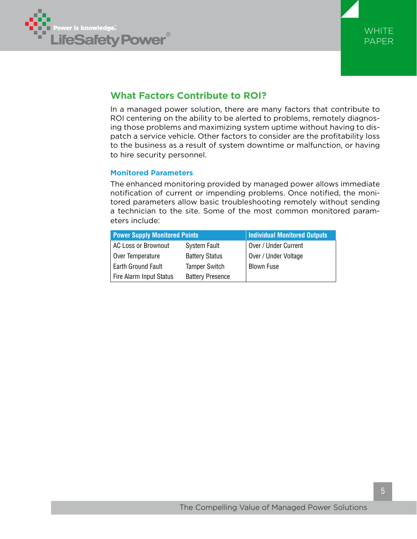



# **What Factors Contribute to ROI?**

In a managed power solution, there are many factors that contribute to ROI centering on the ability to be alerted to problems, remotely diagnosing those problems and maximizing system uptime without having to dispatch a service vehicle. Other factors to consider are the profitability loss to the business as a result of system downtime or malfunction, or having to hire security personnel.

### **Monitored Parameters**

The enhanced monitoring provided by managed power allows immediate notification of current or impending problems. Once notified, the monitored parameters allow basic troubleshooting remotely without sending a technician to the site. Some of the most common monitored parameters include:

| <b>Power Supply Monitored Points</b> | <b>Individual Monitored Outputs</b> |                      |
|--------------------------------------|-------------------------------------|----------------------|
| AC Loss or Brownout                  | <b>System Fault</b>                 | Over / Under Current |
| Over Temperature                     | <b>Battery Status</b>               | Over / Under Voltage |
| Earth Ground Fault                   | <b>Tamper Switch</b>                | <b>Blown Fuse</b>    |
| Fire Alarm Input Status              | <b>Battery Presence</b>             |                      |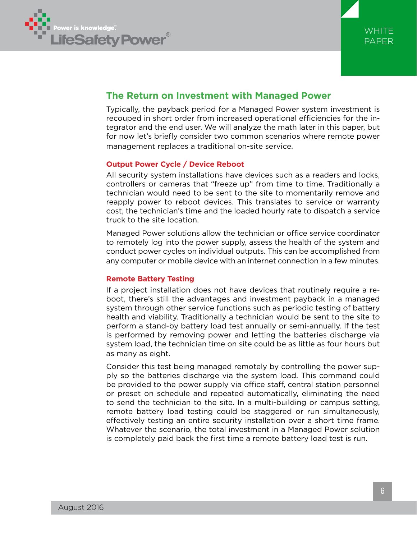



## **The Return on Investment with Managed Power**

Typically, the payback period for a Managed Power system investment is recouped in short order from increased operational efficiencies for the integrator and the end user. We will analyze the math later in this paper, but for now let's briefly consider two common scenarios where remote power management replaces a traditional on-site service.

### **Output Power Cycle / Device Reboot**

All security system installations have devices such as a readers and locks, controllers or cameras that "freeze up" from time to time. Traditionally a technician would need to be sent to the site to momentarily remove and reapply power to reboot devices. This translates to service or warranty cost, the technician's time and the loaded hourly rate to dispatch a service truck to the site location.

Managed Power solutions allow the technician or office service coordinator to remotely log into the power supply, assess the health of the system and conduct power cycles on individual outputs. This can be accomplished from any computer or mobile device with an internet connection in a few minutes.

### **Remote Battery Testing**

If a project installation does not have devices that routinely require a reboot, there's still the advantages and investment payback in a managed system through other service functions such as periodic testing of battery health and viability. Traditionally a technician would be sent to the site to perform a stand-by battery load test annually or semi-annually. If the test is performed by removing power and letting the batteries discharge via system load, the technician time on site could be as little as four hours but as many as eight.

Consider this test being managed remotely by controlling the power supply so the batteries discharge via the system load. This command could be provided to the power supply via office staff, central station personnel or preset on schedule and repeated automatically, eliminating the need to send the technician to the site. In a multi-building or campus setting, remote battery load testing could be staggered or run simultaneously, effectively testing an entire security installation over a short time frame. Whatever the scenario, the total investment in a Managed Power solution is completely paid back the first time a remote battery load test is run.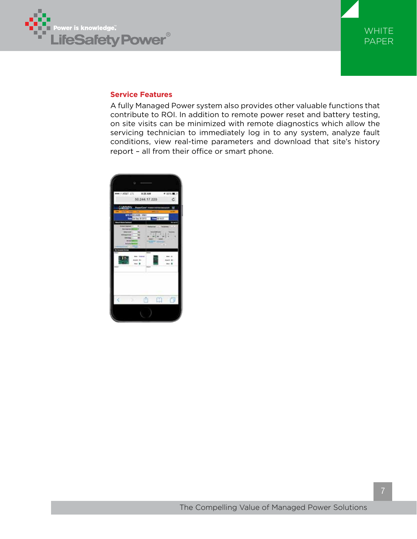



### **Service Features**

A fully Managed Power system also provides other valuable functions that contribute to ROI. In addition to remote power reset and battery testing, on site visits can be minimized with remote diagnostics which allow the servicing technician to immediately log in to any system, analyze fault conditions, view real-time parameters and download that site's history report – all from their office or smart phone.

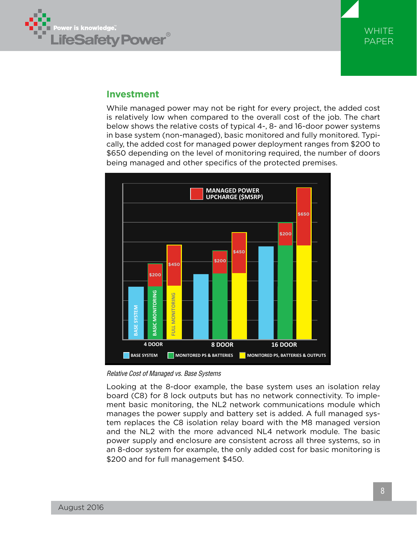



## **Investment**

While managed power may not be right for every project, the added cost is relatively low when compared to the overall cost of the job. The chart below shows the relative costs of typical 4-, 8- and 16-door power systems in base system (non-managed), basic monitored and fully monitored. Typically, the added cost for managed power deployment ranges from \$200 to \$650 depending on the level of monitoring required, the number of doors being managed and other specifics of the protected premises.



*Relative Cost of Managed vs. Base Systems*

Looking at the 8-door example, the base system uses an isolation relay board (C8) for 8 lock outputs but has no network connectivity. To implement basic monitoring, the NL2 network communications module which manages the power supply and battery set is added. A full managed system replaces the C8 isolation relay board with the M8 managed version and the NL2 with the more advanced NL4 network module. The basic power supply and enclosure are consistent across all three systems, so in an 8-door system for example, the only added cost for basic monitoring is \$200 and for full management \$450.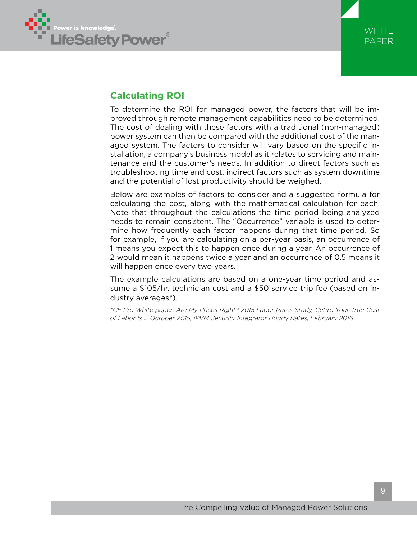



# **Calculating ROI**

To determine the ROI for managed power, the factors that will be improved through remote management capabilities need to be determined. The cost of dealing with these factors with a traditional (non-managed) power system can then be compared with the additional cost of the managed system. The factors to consider will vary based on the specific installation, a company's business model as it relates to servicing and maintenance and the customer's needs. In addition to direct factors such as troubleshooting time and cost, indirect factors such as system downtime and the potential of lost productivity should be weighed.

Below are examples of factors to consider and a suggested formula for calculating the cost, along with the mathematical calculation for each. Note that throughout the calculations the time period being analyzed needs to remain consistent. The "Occurrence" variable is used to determine how frequently each factor happens during that time period. So for example, if you are calculating on a per-year basis, an occurrence of 1 means you expect this to happen once during a year. An occurrence of 2 would mean it happens twice a year and an occurrence of 0.5 means it will happen once every two years.

The example calculations are based on a one-year time period and assume a \$105/hr. technician cost and a \$50 service trip fee (based on industry averages\*).

*\*CE Pro White paper: Are My Prices Right? 2015 Labor Rates Study, CePro Your True Cost of Labor Is ... October 2015, IPVM Security Integrator Hourly Rates, February 2016*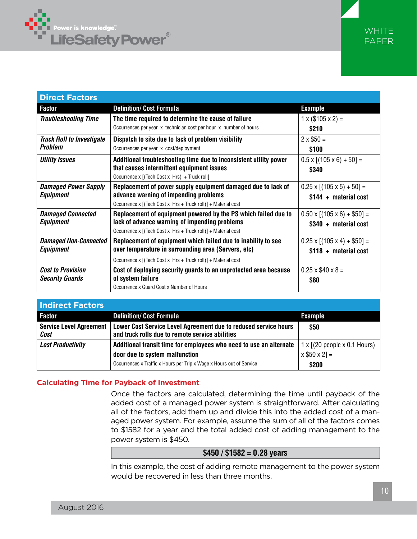



| <b>Direct Factors</b>            |                                                                   |                                        |
|----------------------------------|-------------------------------------------------------------------|----------------------------------------|
| <b>Factor</b>                    | <b>Definition/ Cost Formula</b>                                   | <b>Example</b>                         |
| <b>Troubleshooting Time</b>      | The time required to determine the cause of failure               | $1 \times (105 \times 2) =$            |
|                                  | Occurrences per year x technician cost per hour x number of hours | \$210                                  |
| <b>Truck Roll to Investigate</b> | Dispatch to site due to lack of problem visibility                | $2 \times $50 =$                       |
| <b>Problem</b>                   | Occurrences per year x cost/deployment                            | \$100                                  |
| <b>Utility Issues</b>            | Additional troubleshooting time due to inconsistent utility power | $0.5 \times [(105 \times 6) + 50] =$   |
|                                  | that causes intermittent equipment issues                         | \$340                                  |
|                                  | Occurrence x [(Tech Cost x Hrs) + Truck roll]                     |                                        |
| <b>Damaged Power Supply</b>      | Replacement of power supply equipment damaged due to lack of      | $0.25 \times [(105 \times 5) + 50] =$  |
| <b>Equipment</b>                 | advance warning of impending problems                             | $$144 + material cost$                 |
|                                  | Occurrence x [(Tech Cost x Hrs + Truck roll)] + Material cost     |                                        |
| <b>Damaged Connected</b>         | Replacement of equipment powered by the PS which failed due to    | $0.50 \times [(105 \times 6) + $50] =$ |
| Equipment                        | lack of advance warning of impending problems                     | \$340 + material cost                  |
|                                  | Occurrence x [(Tech Cost x Hrs + Truck roll)] + Material cost     |                                        |
| <b>Damaged Non-Connected</b>     | Replacement of equipment which failed due to inability to see     | $0.25 \times [(105 \times 4) + $50] =$ |
| Equipment                        | over temperature in surrounding area (Servers, etc)               | $$118 + material cost$                 |
|                                  | Occurrence x [(Tech Cost x Hrs + Truck roll)] + Material cost     |                                        |
| <b>Cost to Provision</b>         | Cost of deploying security guards to an unprotected area because  | $0.25 \times $40 \times 8 =$           |
| <b>Security Guards</b>           | of system failure                                                 | \$80                                   |
|                                  | Occurrence x Guard Cost x Number of Hours                         |                                        |

| <b>Indirect Factors</b>                |                                                                                                                          |                |
|----------------------------------------|--------------------------------------------------------------------------------------------------------------------------|----------------|
| <b>Factor</b>                          | <b>Definition/ Cost Formula</b>                                                                                          | <b>Example</b> |
| <b>Service Level Agreement</b><br>Cost | Lower Cost Service Level Agreement due to reduced service hours<br>and truck rolls due to remote service abilities       | \$50           |
| <b>Lost Productivity</b>               | Additional transit time for employees who need to use an alternate $\vert 1 \times \vert$ (20 people $\times$ 0.1 Hours) |                |
|                                        | door due to system malfunction                                                                                           | $x $50 x 2] =$ |
|                                        | Occurrences x Traffic x Hours per Trip x Wage x Hours out of Service                                                     | \$200          |

### **Calculating Time for Payback of Investment**

Once the factors are calculated, determining the time until payback of the added cost of a managed power system is straightforward. After calculating all of the factors, add them up and divide this into the added cost of a managed power system. For example, assume the sum of all of the factors comes to \$1582 for a year and the total added cost of adding management to the power system is \$450.

### **\$450 / \$1582 = 0.28 years**

In this example, the cost of adding remote management to the power system would be recovered in less than three months.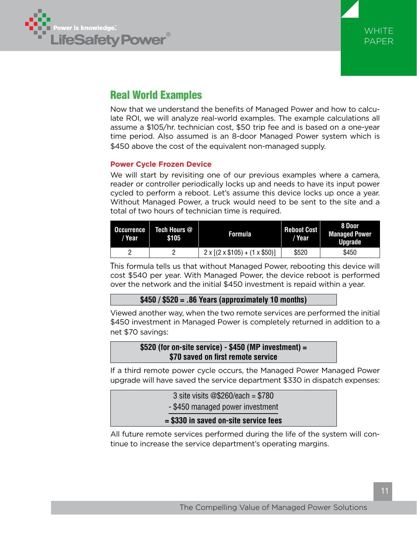



# Real World Examples

Now that we understand the benefits of Managed Power and how to calculate ROI, we will analyze real-world examples. The example calculations all assume a \$105/hr. technician cost, \$50 trip fee and is based on a one-year time period. Also assumed is an 8-door Managed Power system which is \$450 above the cost of the equivalent non-managed supply.

### **Power Cycle Frozen Device**

We will start by revisiting one of our previous examples where a camera, reader or controller periodically locks up and needs to have its input power cycled to perform a reboot. Let's assume this device locks up once a year. Without Managed Power, a truck would need to be sent to the site and a total of two hours of technician time is required.

| Occurrence<br>/ Year | Tech Hours @<br>\$105 | <b>Formula</b>                                | Reboot Cost<br>/ Year | 8 Door<br><b>Managed Power</b><br><b>Uparade</b> |
|----------------------|-----------------------|-----------------------------------------------|-----------------------|--------------------------------------------------|
|                      |                       | $2 \times [(2 \times $105) + (1 \times $50)]$ | \$520                 | \$450                                            |

This formula tells us that without Managed Power, rebooting this device will cost \$540 per year. With Managed Power, the device reboot is performed over the network and the initial \$450 investment is repaid within a year.

### **\$450 / \$520 = .86 Years (approximately 10 months)**

Viewed another way, when the two remote services are performed the initial \$450 investment in Managed Power is completely returned in addition to a net \$70 savings:

### **\$520 (for on-site service) - \$450 (MP investment) = \$70 saved on first remote service**

If a third remote power cycle occurs, the Managed Power Managed Power upgrade will have saved the service department \$330 in dispatch expenses:

| $= $330$ in saved on-site service fees |  |
|----------------------------------------|--|
| - \$450 managed power investment       |  |
| 3 site visits $@$260/each = $780$      |  |

All future remote services performed during the life of the system will continue to increase the service department's operating margins.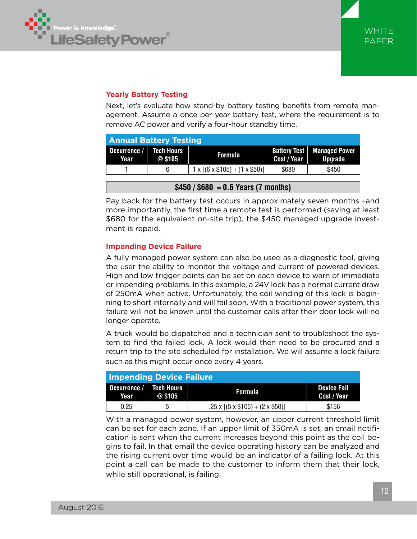

## **Yearly Battery Testing**

Next, let's evaluate how stand-by battery testing benefits from remote management. Assume a once per year battery test, where the requirement is to remove AC power and verify a four-hour standby time.

| <b>Annual Battery Testing</b>        |        |                                               |                                    |                                        |  |
|--------------------------------------|--------|-----------------------------------------------|------------------------------------|----------------------------------------|--|
| Occurrence / Tech Hours<br>Year      | @\$105 | <b>Formula</b>                                | <b>Battery Test</b><br>Cost / Year | <b>Managed Power</b><br><b>Upgrade</b> |  |
|                                      | 6      | $1 \times [(6 \times $105) + (1 \times $50)]$ | \$680                              | \$450                                  |  |
| $$450 / $680 = 0.6$ Years (7 months) |        |                                               |                                    |                                        |  |

Pay back for the battery test occurs in approximately seven months –and more importantly, the first time a remote test is performed (saving at least \$680 for the equivalent on-site trip), the \$450 managed upgrade investment is repaid.

### **Impending Device Failure**

A fully managed power system can also be used as a diagnostic tool, giving the user the ability to monitor the voltage and current of powered devices. High and low trigger points can be set on each device to warn of immediate or impending problems. In this example, a 24V lock has a normal current draw of 250mA when active. Unfortunately, the coil winding of this lock is beginning to short internally and will fail soon. With a traditional power system, this failure will not be known until the customer calls after their door look will no longer operate.

A truck would be dispatched and a technician sent to troubleshoot the system to find the failed lock. A lock would then need to be procured and a return trip to the site scheduled for installation. We will assume a lock failure such as this might occur once every 4 years.

| <b>Impending Device Failure</b> |           |                                                 |                                   |  |  |
|---------------------------------|-----------|-------------------------------------------------|-----------------------------------|--|--|
| Occurrence / Tech Hours<br>Year | $@$ \$105 | <b>Formula</b>                                  | <b>Device Fail</b><br>Cost / Year |  |  |
| 0.25                            | 5         | $.25 \times [(5 \times $105) + (2 \times $50)]$ | \$156                             |  |  |

With a managed power system, however, an upper current threshold limit can be set for each zone. If an upper limit of 350mA is set, an email notification is sent when the current increases beyond this point as the coil begins to fail. In that email the device operating history can be analyzed and the rising current over time would be an indicator of a failing lock. At this point a call can be made to the customer to inform them that their lock, while still operational, is failing.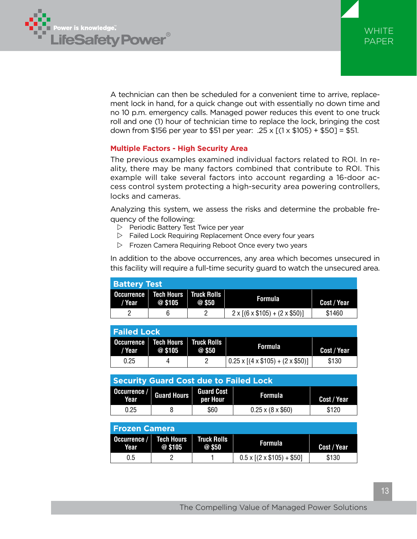



A technician can then be scheduled for a convenient time to arrive, replacement lock in hand, for a quick change out with essentially no down time and no 10 p.m. emergency calls. Managed power reduces this event to one truck roll and one (1) hour of technician time to replace the lock, bringing the cost down from \$156 per year to \$51 per year: .25 x [(1 x \$105) + \$50] = \$51.

### **Multiple Factors - High Security Area**

The previous examples examined individual factors related to ROI. In reality, there may be many factors combined that contribute to ROI. This example will take several factors into account regarding a 16-door access control system protecting a high-security area powering controllers, locks and cameras.

Analyzing this system, we assess the risks and determine the probable frequency of the following:

- $\triangleright$  Periodic Battery Test Twice per year
- $\triangleright$  Failed Lock Requiring Replacement Once every four years
- $\triangleright$  Frozen Camera Requiring Reboot Once every two years

In addition to the above occurrences, any area which becomes unsecured in this facility will require a full-time security guard to watch the unsecured area.

| <b>Battery Test</b> |                                                   |        |                                               |             |
|---------------------|---------------------------------------------------|--------|-----------------------------------------------|-------------|
| / Year              | Occurrence   Tech Hours   Truck Rolls  <br>@\$105 | @ \$50 | <b>Formula</b>                                | Cost / Year |
|                     |                                                   |        | $2 \times [(6 \times $105) + (2 \times $50)]$ | \$1460      |

| <b>Failed Lock</b> |                                                |      |                                                                          |             |
|--------------------|------------------------------------------------|------|--------------------------------------------------------------------------|-------------|
| / Year             | Occurrence Tech Hours   Truck Rolls<br>@ \$105 | @550 | <b>Formula</b>                                                           | Cost / Year |
| 0.25               |                                                |      | $\left[0.25 \times \left[(4 \times $105) + (2 \times $50)\right]\right]$ | \$130       |

| <b>Security Guard Cost due to Failed Lock</b> |  |                               |                              |             |
|-----------------------------------------------|--|-------------------------------|------------------------------|-------------|
| Occurrence / Guard Hours<br>Year <sup>1</sup> |  | <b>Guard Cost</b><br>per Hour | <b>Formula</b>               | Cost / Year |
| 0.25                                          |  | \$60                          | $0.25 \times (8 \times $60)$ | \$120       |

| l Frozen Camera      |                              |                              |                                      |             |  |
|----------------------|------------------------------|------------------------------|--------------------------------------|-------------|--|
| Occurrence /<br>Year | <b>Tech Hours</b><br>@ \$105 | <b>Truck Rolls</b><br>@ \$50 | Formula                              | Cost / Year |  |
| 0.5                  |                              |                              | $0.5 \times [(2 \times $105) + $50]$ | \$130       |  |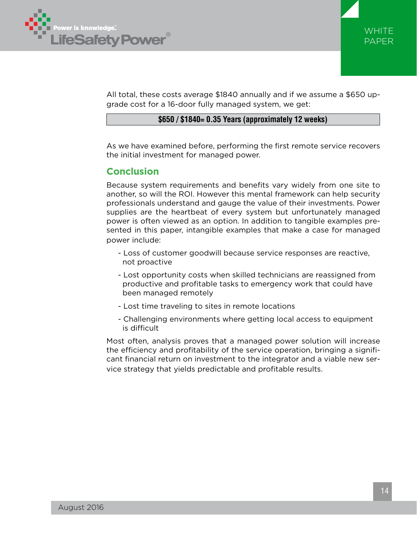



All total, these costs average \$1840 annually and if we assume a \$650 upgrade cost for a 16-door fully managed system, we get:

### **\$650 / \$1840= 0.35 Years (approximately 12 weeks)**

As we have examined before, performing the first remote service recovers the initial investment for managed power.

## **Conclusion**

Because system requirements and benefits vary widely from one site to another, so will the ROI. However this mental framework can help security professionals understand and gauge the value of their investments. Power supplies are the heartbeat of every system but unfortunately managed power is often viewed as an option. In addition to tangible examples presented in this paper, intangible examples that make a case for managed power include:

- Loss of customer goodwill because service responses are reactive, not proactive
- Lost opportunity costs when skilled technicians are reassigned from productive and profitable tasks to emergency work that could have been managed remotely
- Lost time traveling to sites in remote locations
- Challenging environments where getting local access to equipment is difficult

Most often, analysis proves that a managed power solution will increase the efficiency and profitability of the service operation, bringing a significant financial return on investment to the integrator and a viable new service strategy that yields predictable and profitable results.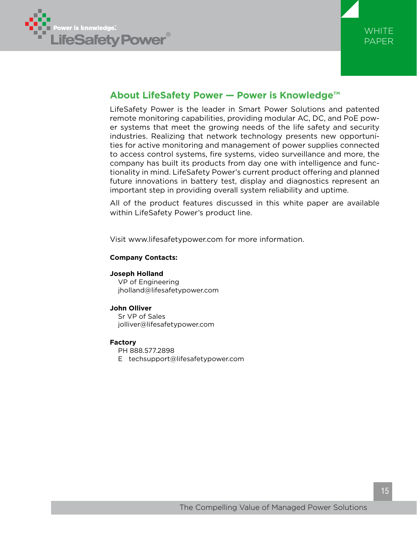



# **About LifeSafety Power — Power is Knowledge™**

LifeSafety Power is the leader in Smart Power Solutions and patented remote monitoring capabilities, providing modular AC, DC, and PoE power systems that meet the growing needs of the life safety and security industries. Realizing that network technology presents new opportunities for active monitoring and management of power supplies connected to access control systems, fire systems, video surveillance and more, the company has built its products from day one with intelligence and functionality in mind. LifeSafety Power's current product offering and planned future innovations in battery test, display and diagnostics represent an important step in providing overall system reliability and uptime.

All of the product features discussed in this white paper are available within LifeSafety Power's product line.

Visit www.lifesafetypower.com for more information.

### **Company Contacts:**

**Joseph Holland** VP of Engineering jholland@lifesafetypower.com

#### **John Olliver**

Sr VP of Sales jolliver@lifesafetypower.com

#### **Factory**

PH 888.577.2898 E techsupport@lifesafetypower.com